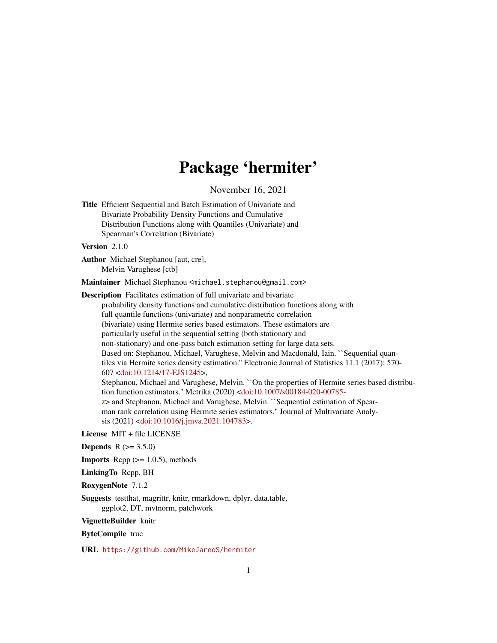# Package 'hermiter'

November 16, 2021

```
Title Efficient Sequential and Batch Estimation of Univariate and
      Bivariate Probability Density Functions and Cumulative
      Distribution Functions along with Quantiles (Univariate) and
      Spearman's Correlation (Bivariate)
```
Version 2.1.0

Author Michael Stephanou [aut, cre], Melvin Varughese [ctb]

Maintainer Michael Stephanou <michael.stephanou@gmail.com>

Description Facilitates estimation of full univariate and bivariate probability density functions and cumulative distribution functions along with full quantile functions (univariate) and nonparametric correlation (bivariate) using Hermite series based estimators. These estimators are particularly useful in the sequential setting (both stationary and non-stationary) and one-pass batch estimation setting for large data sets. Based on: Stephanou, Michael, Varughese, Melvin and Macdonald, Iain. ``Sequential quantiles via Hermite series density estimation.'' Electronic Journal of Statistics 11.1 (2017): 570- 607 [<doi:10.1214/17-EJS1245>](https://doi.org/10.1214/17-EJS1245), Stephanou, Michael and Varughese, Melvin. ``On the properties of Hermite series based distribution function estimators.'' Metrika (2020) [<doi:10.1007/s00184-020-00785](https://doi.org/10.1007/s00184-020-00785-z) [z>](https://doi.org/10.1007/s00184-020-00785-z) and Stephanou, Michael and Varughese, Melvin. ``Sequential estimation of Spearman rank correlation using Hermite series estimators.'' Journal of Multivariate Analysis (2021) [<doi:10.1016/j.jmva.2021.104783>](https://doi.org/10.1016/j.jmva.2021.104783).

License MIT + file LICENSE

**Depends** R  $(>= 3.5.0)$ 

**Imports** Rcpp  $(>= 1.0.5)$ , methods

LinkingTo Rcpp, BH

RoxygenNote 7.1.2

Suggests testthat, magrittr, knitr, rmarkdown, dplyr, data.table, ggplot2, DT, mvtnorm, patchwork

VignetteBuilder knitr

ByteCompile true

URL <https://github.com/MikeJaredS/hermiter>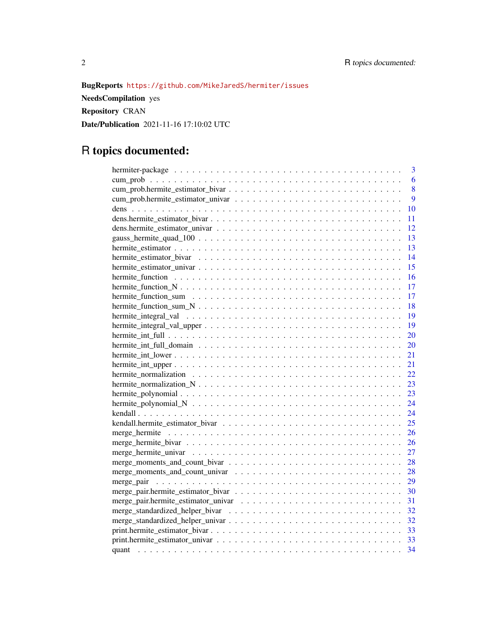### BugReports <https://github.com/MikeJaredS/hermiter/issues>

NeedsCompilation yes Repository CRAN Date/Publication 2021-11-16 17:10:02 UTC

## R topics documented:

| 3                                                                                                                   |
|---------------------------------------------------------------------------------------------------------------------|
| 6                                                                                                                   |
| 8                                                                                                                   |
| 9                                                                                                                   |
| 10                                                                                                                  |
| 11                                                                                                                  |
| 12                                                                                                                  |
| 13                                                                                                                  |
| 13                                                                                                                  |
| 14                                                                                                                  |
| 15                                                                                                                  |
| hermite function $\ldots \ldots \ldots \ldots \ldots \ldots \ldots \ldots \ldots \ldots \ldots \ldots \ldots$<br>16 |
| 17                                                                                                                  |
| 17                                                                                                                  |
| 18                                                                                                                  |
| 19                                                                                                                  |
| 19                                                                                                                  |
| 20                                                                                                                  |
| 20                                                                                                                  |
| 21                                                                                                                  |
| 21                                                                                                                  |
| 22                                                                                                                  |
| 23                                                                                                                  |
| 23                                                                                                                  |
| 24                                                                                                                  |
| 24                                                                                                                  |
| 25                                                                                                                  |
| 26                                                                                                                  |
| 26                                                                                                                  |
| 27                                                                                                                  |
| 28                                                                                                                  |
| 28                                                                                                                  |
| 29                                                                                                                  |
| 30                                                                                                                  |
| 31                                                                                                                  |
| 32                                                                                                                  |
| 32                                                                                                                  |
| 33                                                                                                                  |
| 33                                                                                                                  |
| 34                                                                                                                  |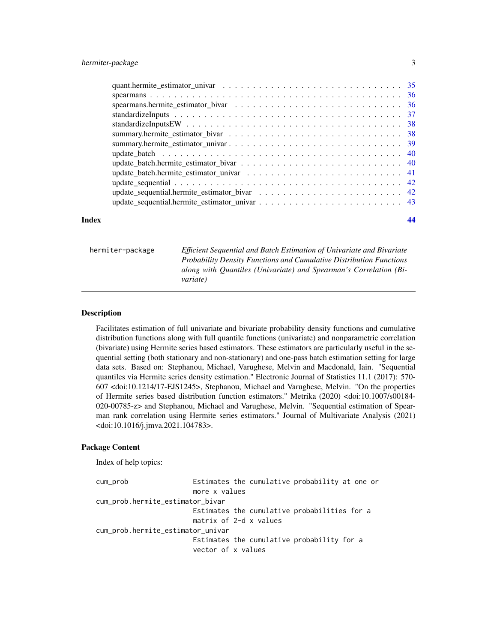<span id="page-2-0"></span>

| Index |  |
|-------|--|

hermiter-package *Efficient Sequential and Batch Estimation of Univariate and Bivariate Probability Density Functions and Cumulative Distribution Functions along with Quantiles (Univariate) and Spearman's Correlation (Bivariate)*

#### **Description**

Facilitates estimation of full univariate and bivariate probability density functions and cumulative distribution functions along with full quantile functions (univariate) and nonparametric correlation (bivariate) using Hermite series based estimators. These estimators are particularly useful in the sequential setting (both stationary and non-stationary) and one-pass batch estimation setting for large data sets. Based on: Stephanou, Michael, Varughese, Melvin and Macdonald, Iain. "Sequential quantiles via Hermite series density estimation." Electronic Journal of Statistics 11.1 (2017): 570- 607 <doi:10.1214/17-EJS1245>, Stephanou, Michael and Varughese, Melvin. "On the properties of Hermite series based distribution function estimators." Metrika (2020) <doi:10.1007/s00184- 020-00785-z> and Stephanou, Michael and Varughese, Melvin. "Sequential estimation of Spearman rank correlation using Hermite series estimators." Journal of Multivariate Analysis (2021) <doi:10.1016/j.jmva.2021.104783>.

#### Package Content

Index of help topics:

```
cum_prob Estimates the cumulative probability at one or
                      more x values
cum_prob.hermite_estimator_bivar
                      Estimates the cumulative probabilities for a
                      matrix of 2-d x values
cum_prob.hermite_estimator_univar
                      Estimates the cumulative probability for a
                      vector of x values
```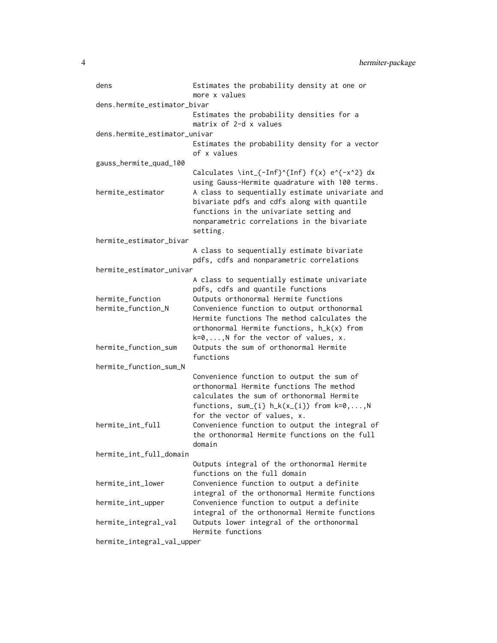| dens                          | Estimates the probability density at one or<br>more x values                     |
|-------------------------------|----------------------------------------------------------------------------------|
| dens.hermite_estimator_bivar  |                                                                                  |
|                               | Estimates the probability densities for a                                        |
|                               | matrix of 2-d x values                                                           |
| dens.hermite_estimator_univar |                                                                                  |
|                               | Estimates the probability density for a vector<br>of x values                    |
| gauss_hermite_quad_100        |                                                                                  |
|                               | Calculates \int_{-Inf}^{Inf} $f(x) e^{-x^2} dx$                                  |
|                               | using Gauss-Hermite quadrature with 100 terms.                                   |
| hermite_estimator             | A class to sequentially estimate univariate and                                  |
|                               | bivariate pdfs and cdfs along with quantile                                      |
|                               | functions in the univariate setting and                                          |
|                               | nonparametric correlations in the bivariate                                      |
|                               | setting.                                                                         |
| hermite_estimator_bivar       |                                                                                  |
|                               | A class to sequentially estimate bivariate                                       |
|                               | pdfs, cdfs and nonparametric correlations                                        |
| hermite_estimator_univar      |                                                                                  |
|                               | A class to sequentially estimate univariate<br>pdfs, cdfs and quantile functions |
| hermite_function              | Outputs orthonormal Hermite functions                                            |
| hermite_function_N            | Convenience function to output orthonormal                                       |
|                               | Hermite functions The method calculates the                                      |
|                               | orthonormal Hermite functions, h_k(x) from                                       |
|                               | $k=0,,N$ for the vector of values, x.                                            |
| hermite_function_sum          | Outputs the sum of orthonormal Hermite                                           |
|                               | functions                                                                        |
| hermite_function_sum_N        |                                                                                  |
|                               | Convenience function to output the sum of                                        |
|                               | orthonormal Hermite functions The method                                         |
|                               | calculates the sum of orthonormal Hermite                                        |
|                               | functions, sum_{i} h_k(x_{i}) from k=0,,N                                        |
|                               | for the vector of values, x.                                                     |
| hermite_int_full              | Convenience function to output the integral of                                   |
|                               | the orthonormal Hermite functions on the full                                    |
|                               | domain                                                                           |
| hermite_int_full_domain       |                                                                                  |
|                               | Outputs integral of the orthonormal Hermite<br>functions on the full domain      |
| hermite int lower             | Convenience function to output a definite                                        |
|                               | integral of the orthonormal Hermite functions                                    |
| hermite_int_upper             | Convenience function to output a definite                                        |
|                               | integral of the orthonormal Hermite functions                                    |
| hermite_integral_val          | Outputs lower integral of the orthonormal                                        |
|                               | Hermite functions                                                                |

hermite\_integral\_val\_upper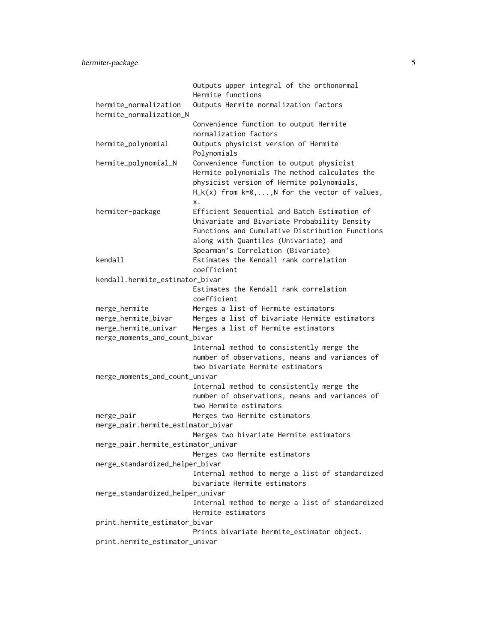hermiter-package 5

|                                                  | Outputs upper integral of the orthonormal        |
|--------------------------------------------------|--------------------------------------------------|
|                                                  | Hermite functions                                |
| hermite_normalization<br>hermite_normalization_N | Outputs Hermite normalization factors            |
|                                                  | Convenience function to output Hermite           |
|                                                  | normalization factors                            |
| hermite_polynomial                               | Outputs physicist version of Hermite             |
|                                                  | Polynomials                                      |
| hermite_polynomial_N                             | Convenience function to output physicist         |
|                                                  | Hermite polynomials The method calculates the    |
|                                                  | physicist version of Hermite polynomials,        |
|                                                  | $H_k(x)$ from $k=0,,N$ for the vector of values, |
|                                                  | Х.                                               |
| hermiter-package                                 | Efficient Sequential and Batch Estimation of     |
|                                                  | Univariate and Bivariate Probability Density     |
|                                                  | Functions and Cumulative Distribution Functions  |
|                                                  | along with Quantiles (Univariate) and            |
|                                                  | Spearman's Correlation (Bivariate)               |
| kendall                                          | Estimates the Kendall rank correlation           |
|                                                  | coefficient                                      |
| kendall.hermite_estimator_bivar                  |                                                  |
|                                                  | Estimates the Kendall rank correlation           |
|                                                  | coefficient                                      |
| merge_hermite                                    | Merges a list of Hermite estimators              |
| merge_hermite_bivar                              | Merges a list of bivariate Hermite estimators    |
| merge_hermite_univar                             | Merges a list of Hermite estimators              |
| merge_moments_and_count_bivar                    |                                                  |
|                                                  | Internal method to consistently merge the        |
|                                                  | number of observations, means and variances of   |
|                                                  | two bivariate Hermite estimators                 |
| merge_moments_and_count_univar                   |                                                  |
|                                                  | Internal method to consistently merge the        |
|                                                  | number of observations, means and variances of   |
|                                                  | two Hermite estimators                           |
| merge_pair                                       | Merges two Hermite estimators                    |
| merge_pair.hermite_estimator_bivar               |                                                  |
|                                                  | Merges two bivariate Hermite estimators          |
| merge_pair.hermite_estimator_univar              |                                                  |
|                                                  | Merges two Hermite estimators                    |
| merge_standardized_helper_bivar                  |                                                  |
|                                                  | Internal method to merge a list of standardized  |
|                                                  | bivariate Hermite estimators                     |
| merge_standardized_helper_univar                 |                                                  |
|                                                  | Internal method to merge a list of standardized  |
|                                                  | Hermite estimators                               |
| print.hermite_estimator_bivar                    |                                                  |
|                                                  | Prints bivariate hermite_estimator object.       |
| print.hermite_estimator_univar                   |                                                  |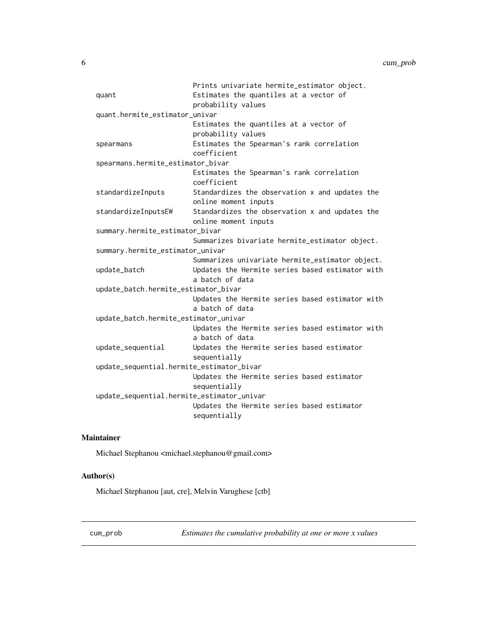<span id="page-5-0"></span>

|                                            | Prints univariate hermite_estimator object.     |
|--------------------------------------------|-------------------------------------------------|
| quant                                      | Estimates the quantiles at a vector of          |
|                                            | probability values                              |
| quant.hermite_estimator_univar             |                                                 |
|                                            | Estimates the quantiles at a vector of          |
|                                            | probability values                              |
| spearmans                                  | Estimates the Spearman's rank correlation       |
|                                            | coefficient                                     |
| spearmans.hermite_estimator_bivar          |                                                 |
|                                            | Estimates the Spearman's rank correlation       |
|                                            | coefficient                                     |
| standardizeInputs                          | Standardizes the observation x and updates the  |
|                                            | online moment inputs                            |
| standardizeInputsEW                        | Standardizes the observation x and updates the  |
|                                            | online moment inputs                            |
| summary.hermite_estimator_bivar            |                                                 |
|                                            | Summarizes bivariate hermite_estimator object.  |
| summary.hermite_estimator_univar           |                                                 |
|                                            | Summarizes univariate hermite_estimator object. |
| update_batch                               | Updates the Hermite series based estimator with |
|                                            | a batch of data                                 |
| update_batch.hermite_estimator_bivar       |                                                 |
|                                            | Updates the Hermite series based estimator with |
|                                            | a batch of data                                 |
| update_batch.hermite_estimator_univar      |                                                 |
|                                            | Updates the Hermite series based estimator with |
|                                            | a batch of data                                 |
| update_sequential                          | Updates the Hermite series based estimator      |
|                                            | sequentially                                    |
| update_sequential.hermite_estimator_bivar  |                                                 |
|                                            | Updates the Hermite series based estimator      |
|                                            | sequentially                                    |
| update_sequential.hermite_estimator_univar |                                                 |
|                                            | Updates the Hermite series based estimator      |
|                                            | sequentially                                    |
|                                            |                                                 |

#### Maintainer

Michael Stephanou <michael.stephanou@gmail.com>

#### Author(s)

Michael Stephanou [aut, cre], Melvin Varughese [ctb]

cum\_prob *Estimates the cumulative probability at one or more x values*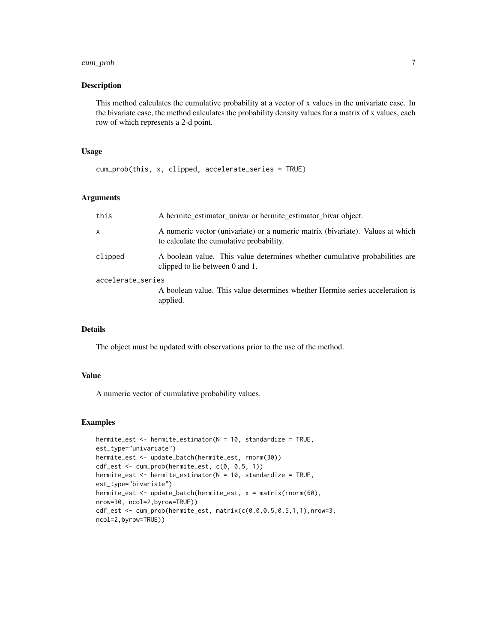#### cum\_prob 7

#### Description

This method calculates the cumulative probability at a vector of x values in the univariate case. In the bivariate case, the method calculates the probability density values for a matrix of x values, each row of which represents a 2-d point.

#### Usage

```
cum_prob(this, x, clipped, accelerate_series = TRUE)
```
#### Arguments

| this              | A hermite estimator univar or hermite estimator bivar object.                                                              |
|-------------------|----------------------------------------------------------------------------------------------------------------------------|
| $\mathsf{x}$      | A numeric vector (univariate) or a numeric matrix (bivariate). Values at which<br>to calculate the cumulative probability. |
| clipped           | A boolean value. This value determines whether cumulative probabilities are<br>clipped to lie between 0 and 1.             |
| accelerate_series | A boolean value. This value determines whether Hermite series acceleration is<br>applied.                                  |

#### Details

The object must be updated with observations prior to the use of the method.

#### Value

A numeric vector of cumulative probability values.

```
hermite_est <- hermite_estimator(N = 10, standardize = TRUE,
est_type="univariate")
hermite_est <- update_batch(hermite_est, rnorm(30))
cdf_est <- cum_prob(hermite_est, c(0, 0.5, 1))
hermite_est <- hermite_estimator(N = 10, standardize = TRUE,
est_type="bivariate")
hermite_est <- update_batch(hermite_est, x = matrix(rnorm(60),
nrow=30, ncol=2,byrow=TRUE))
cdf\_est \leq cum\_prob(hermite\_est, matrix(c(0, 0, 0.5, 0.5, 1, 1), nrow=3,ncol=2,byrow=TRUE))
```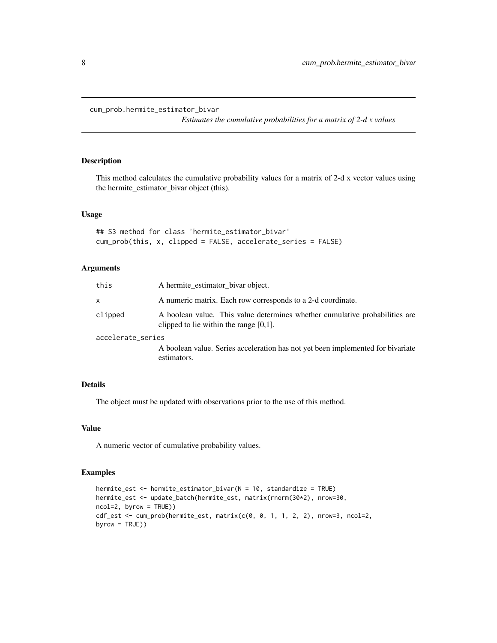```
cum_prob.hermite_estimator_bivar
```
*Estimates the cumulative probabilities for a matrix of 2-d x values*

#### Description

This method calculates the cumulative probability values for a matrix of 2-d x vector values using the hermite\_estimator\_bivar object (this).

#### Usage

```
## S3 method for class 'hermite_estimator_bivar'
cum_prob(this, x, clipped = FALSE, accelerate_series = FALSE)
```
#### Arguments

| this              | A hermite estimator bivar object.                                                                                        |
|-------------------|--------------------------------------------------------------------------------------------------------------------------|
| X                 | A numeric matrix. Each row corresponds to a 2-d coordinate.                                                              |
| clipped           | A boolean value. This value determines whether cumulative probabilities are<br>clipped to lie within the range $[0,1]$ . |
| accelerate_series |                                                                                                                          |
|                   | A boolean value. Series acceleration has not yet been implemented for bivariate                                          |
|                   | estimators.                                                                                                              |

#### Details

The object must be updated with observations prior to the use of this method.

#### Value

A numeric vector of cumulative probability values.

```
hermite_est <- hermite_estimator_bivar(N = 10, standardize = TRUE)
hermite_est <- update_batch(hermite_est, matrix(rnorm(30*2), nrow=30,
ncol=2, byrow = TRUE))
cdf_est <- cum_prob(hermite_est, matrix(c(0, 0, 1, 1, 2, 2), nrow=3, ncol=2,
byrow = TRUE))
```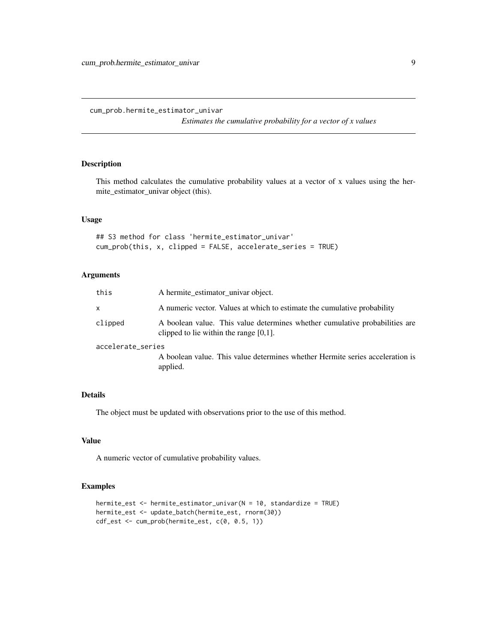<span id="page-8-0"></span>cum\_prob.hermite\_estimator\_univar

*Estimates the cumulative probability for a vector of x values*

#### Description

This method calculates the cumulative probability values at a vector of x values using the hermite\_estimator\_univar object (this).

#### Usage

## S3 method for class 'hermite\_estimator\_univar' cum\_prob(this, x, clipped = FALSE, accelerate\_series = TRUE)

#### Arguments

| this              | A hermite_estimator_univar object.                                                                                       |
|-------------------|--------------------------------------------------------------------------------------------------------------------------|
| X                 | A numeric vector. Values at which to estimate the cumulative probability                                                 |
| clipped           | A boolean value. This value determines whether cumulative probabilities are<br>clipped to lie within the range $[0,1]$ . |
| accelerate_series |                                                                                                                          |
|                   | A boolean value. This value determines whether Hermite series acceleration is<br>applied.                                |

#### Details

The object must be updated with observations prior to the use of this method.

#### Value

A numeric vector of cumulative probability values.

```
hermite_est <- hermite_estimator_univar(N = 10, standardize = TRUE)
hermite_est <- update_batch(hermite_est, rnorm(30))
cdf_est <- cum_prob(hermite_est, c(0, 0.5, 1))
```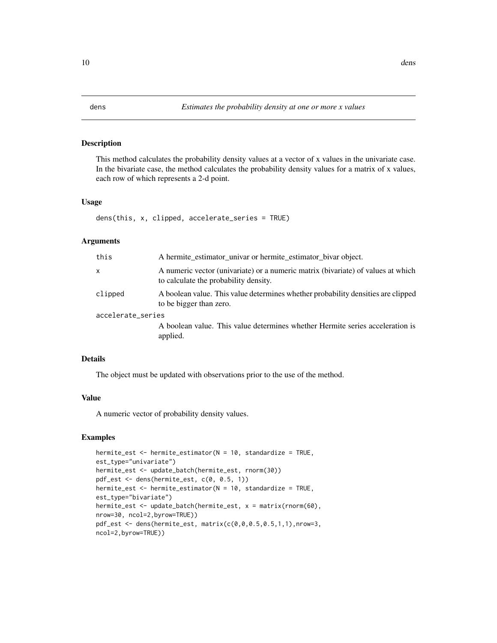<span id="page-9-0"></span>

#### Description

This method calculates the probability density values at a vector of x values in the univariate case. In the bivariate case, the method calculates the probability density values for a matrix of x values, each row of which represents a 2-d point.

#### Usage

dens(this, x, clipped, accelerate\_series = TRUE)

#### Arguments

| this              | A hermite_estimator_univar or hermite_estimator_bivar object.                                                             |
|-------------------|---------------------------------------------------------------------------------------------------------------------------|
| x                 | A numeric vector (univariate) or a numeric matrix (bivariate) of values at which<br>to calculate the probability density. |
| clipped           | A boolean value. This value determines whether probability densities are clipped<br>to be bigger than zero.               |
| accelerate_series | A boolean value. This value determines whether Hermite series acceleration is<br>applied.                                 |

#### Details

The object must be updated with observations prior to the use of the method.

#### Value

A numeric vector of probability density values.

```
hermite_est <- hermite_estimator(N = 10, standardize = TRUE,
est_type="univariate")
hermite_est <- update_batch(hermite_est, rnorm(30))
pdf_est <- dens(hermite_est, c(0, 0.5, 1))
hermite_est <- hermite_estimator(N = 10, standardize = TRUE,
est_type="bivariate")
hermite_est <- update_batch(hermite_est, x = matrix(rnorm(60),
nrow=30, ncol=2,byrow=TRUE))
pdf_est <- dens(hermite_est, matrix(c(0,0,0.5,0.5,1,1),nrow=3,
ncol=2,byrow=TRUE))
```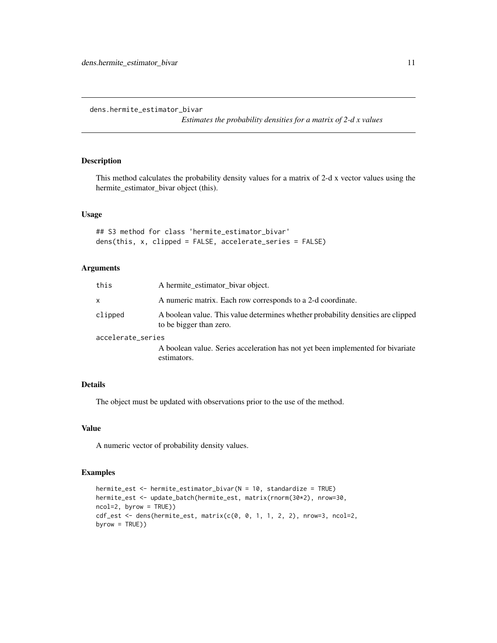<span id="page-10-0"></span>dens.hermite\_estimator\_bivar

*Estimates the probability densities for a matrix of 2-d x values*

#### Description

This method calculates the probability density values for a matrix of 2-d x vector values using the hermite\_estimator\_bivar object (this).

#### Usage

```
## S3 method for class 'hermite_estimator_bivar'
dens(this, x, clipped = FALSE, accelerate_series = FALSE)
```
#### Arguments

| A hermite estimator bivar object.                                                                           |
|-------------------------------------------------------------------------------------------------------------|
| A numeric matrix. Each row corresponds to a 2-d coordinate.                                                 |
| A boolean value. This value determines whether probability densities are clipped<br>to be bigger than zero. |
| accelerate_series                                                                                           |
| A boolean value. Series acceleration has not yet been implemented for bivariate<br>estimators.              |
|                                                                                                             |

#### Details

The object must be updated with observations prior to the use of the method.

#### Value

A numeric vector of probability density values.

```
hermite_est <- hermite_estimator_bivar(N = 10, standardize = TRUE)
hermite_est <- update_batch(hermite_est, matrix(rnorm(30*2), nrow=30,
ncol=2, byrow = TRUE))
cdf_est <- dens(hermite_est, matrix(c(0, 0, 1, 1, 2, 2), nrow=3, ncol=2,
byrow = TRUE))
```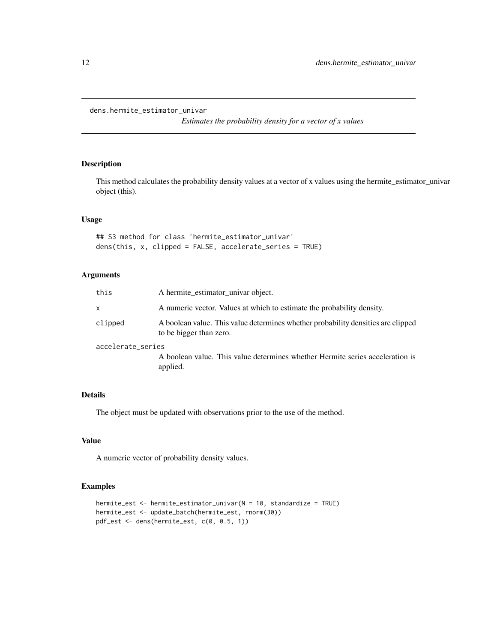<span id="page-11-0"></span>dens.hermite\_estimator\_univar

*Estimates the probability density for a vector of x values*

#### Description

This method calculates the probability density values at a vector of x values using the hermite\_estimator\_univar object (this).

#### Usage

## S3 method for class 'hermite\_estimator\_univar' dens(this, x, clipped = FALSE, accelerate\_series = TRUE)

#### Arguments

| this              | A hermite estimator univar object.                                                                          |
|-------------------|-------------------------------------------------------------------------------------------------------------|
| $\mathsf{x}$      | A numeric vector. Values at which to estimate the probability density.                                      |
| clipped           | A boolean value. This value determines whether probability densities are clipped<br>to be bigger than zero. |
| accelerate_series |                                                                                                             |
|                   | A boolean value. This value determines whether Hermite series acceleration is<br>applied.                   |

#### Details

The object must be updated with observations prior to the use of the method.

#### Value

A numeric vector of probability density values.

```
hermite_est <- hermite_estimator_univar(N = 10, standardize = TRUE)
hermite_est <- update_batch(hermite_est, rnorm(30))
pdf_est <- dens(hermite_est, c(0, 0.5, 1))
```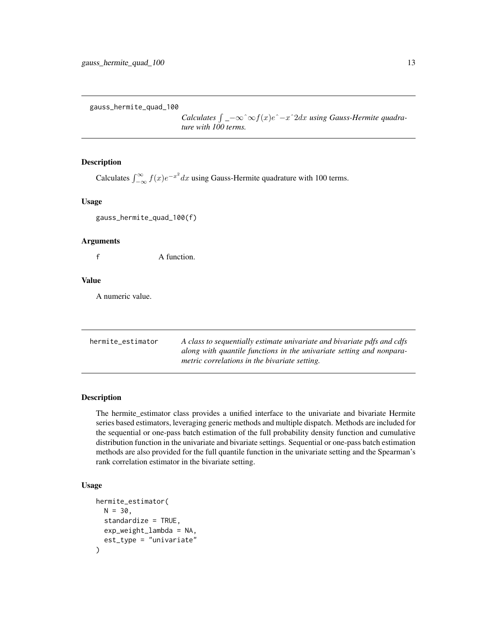<span id="page-12-0"></span>gauss\_hermite\_quad\_100

*Calculates*  $\int$   $-\infty$   $\infty$   $f(x)e^$   $-x$   $2dx$  *using Gauss-Hermite quadrature with 100 terms.*

#### **Description**

Calculates  $\int_{-\infty}^{\infty} f(x)e^{-x^2} dx$  using Gauss-Hermite quadrature with 100 terms.

#### Usage

gauss\_hermite\_quad\_100(f)

#### Arguments

f A function.

#### Value

A numeric value.

hermite\_estimator *A class to sequentially estimate univariate and bivariate pdfs and cdfs along with quantile functions in the univariate setting and nonparametric correlations in the bivariate setting.*

#### Description

The hermite\_estimator class provides a unified interface to the univariate and bivariate Hermite series based estimators, leveraging generic methods and multiple dispatch. Methods are included for the sequential or one-pass batch estimation of the full probability density function and cumulative distribution function in the univariate and bivariate settings. Sequential or one-pass batch estimation methods are also provided for the full quantile function in the univariate setting and the Spearman's rank correlation estimator in the bivariate setting.

#### Usage

```
hermite_estimator(
 N = 30.
  standardize = TRUE,
  exp_weight_lambda = NA,
  est_type = "univariate"
)
```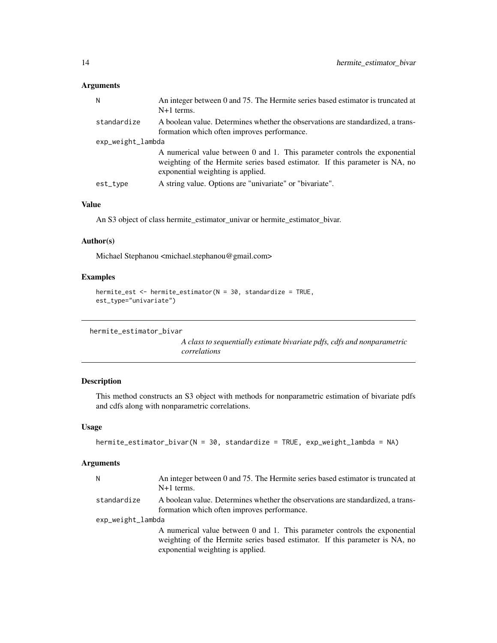#### <span id="page-13-0"></span>Arguments

| N                 | An integer between 0 and 75. The Hermite series based estimator is truncated at<br>$N+1$ terms.                                                                                                 |
|-------------------|-------------------------------------------------------------------------------------------------------------------------------------------------------------------------------------------------|
| standardize       | A boolean value. Determines whether the observations are standardized, a trans-<br>formation which often improves performance.                                                                  |
| exp_weight_lambda |                                                                                                                                                                                                 |
|                   | A numerical value between 0 and 1. This parameter controls the exponential<br>weighting of the Hermite series based estimator. If this parameter is NA, no<br>exponential weighting is applied. |
| est_type          | A string value. Options are "univariate" or "bivariate".                                                                                                                                        |
|                   |                                                                                                                                                                                                 |

#### Value

An S3 object of class hermite\_estimator\_univar or hermite\_estimator\_bivar.

#### Author(s)

Michael Stephanou <michael.stephanou@gmail.com>

#### Examples

```
hermite_est <- hermite_estimator(N = 30, standardize = TRUE,
est_type="univariate")
```

```
hermite_estimator_bivar
```
*A class to sequentially estimate bivariate pdfs, cdfs and nonparametric correlations*

#### Description

This method constructs an S3 object with methods for nonparametric estimation of bivariate pdfs and cdfs along with nonparametric correlations.

#### Usage

```
hermite_estimator_bivar(N = 30, standardize = TRUE, exp_weight_lambda = NA)
```
#### Arguments

| N                 | An integer between 0 and 75. The Hermite series based estimator is truncated at<br>$N+1$ terms.                                                                                                 |
|-------------------|-------------------------------------------------------------------------------------------------------------------------------------------------------------------------------------------------|
| standardize       | A boolean value. Determines whether the observations are standardized, a trans-<br>formation which often improves performance.                                                                  |
| exp_weight_lambda |                                                                                                                                                                                                 |
|                   | A numerical value between 0 and 1. This parameter controls the exponential<br>weighting of the Hermite series based estimator. If this parameter is NA, no<br>exponential weighting is applied. |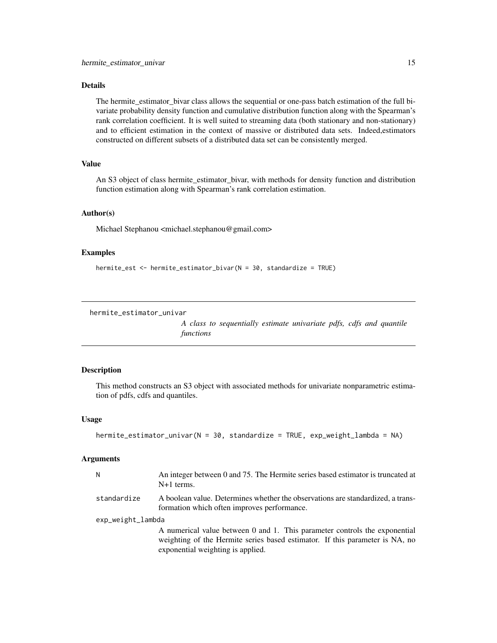#### <span id="page-14-0"></span>Details

The hermite\_estimator\_bivar class allows the sequential or one-pass batch estimation of the full bivariate probability density function and cumulative distribution function along with the Spearman's rank correlation coefficient. It is well suited to streaming data (both stationary and non-stationary) and to efficient estimation in the context of massive or distributed data sets. Indeed,estimators constructed on different subsets of a distributed data set can be consistently merged.

#### Value

An S3 object of class hermite estimator bivar, with methods for density function and distribution function estimation along with Spearman's rank correlation estimation.

#### Author(s)

Michael Stephanou <michael.stephanou@gmail.com>

#### Examples

```
hermite_est <- hermite_estimator_bivar(N = 30, standardize = TRUE)
```
hermite\_estimator\_univar

*A class to sequentially estimate univariate pdfs, cdfs and quantile functions*

#### Description

This method constructs an S3 object with associated methods for univariate nonparametric estimation of pdfs, cdfs and quantiles.

#### Usage

```
hermite_estimator_univar(N = 30, standardize = TRUE, exp_weight_lambda = NA)
```
#### Arguments

| N                 | An integer between 0 and 75. The Hermite series based estimator is truncated at<br>$N+1$ terms.                                                                                                 |
|-------------------|-------------------------------------------------------------------------------------------------------------------------------------------------------------------------------------------------|
| standardize       | A boolean value. Determines whether the observations are standardized, a trans-<br>formation which often improves performance.                                                                  |
| exp_weight_lambda |                                                                                                                                                                                                 |
|                   | A numerical value between 0 and 1. This parameter controls the exponential<br>weighting of the Hermite series based estimator. If this parameter is NA, no<br>exponential weighting is applied. |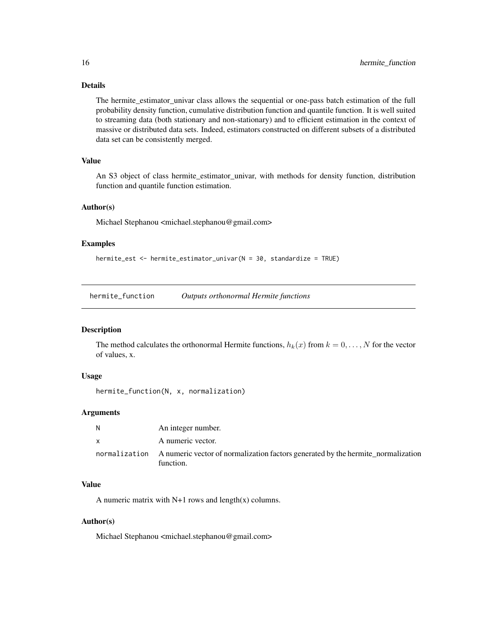#### Details

The hermite\_estimator\_univar class allows the sequential or one-pass batch estimation of the full probability density function, cumulative distribution function and quantile function. It is well suited to streaming data (both stationary and non-stationary) and to efficient estimation in the context of massive or distributed data sets. Indeed, estimators constructed on different subsets of a distributed data set can be consistently merged.

#### Value

An S3 object of class hermite\_estimator\_univar, with methods for density function, distribution function and quantile function estimation.

#### Author(s)

Michael Stephanou <michael.stephanou@gmail.com>

#### Examples

```
hermite_est <- hermite_estimator_univar(N = 30, standardize = TRUE)
```
hermite\_function *Outputs orthonormal Hermite functions*

#### Description

The method calculates the orthonormal Hermite functions,  $h_k(x)$  from  $k = 0, \ldots, N$  for the vector of values, x.

#### Usage

```
hermite_function(N, x, normalization)
```
#### Arguments

| N | An integer number.                                                                                          |
|---|-------------------------------------------------------------------------------------------------------------|
| X | A numeric vector.                                                                                           |
|   | normalization A numeric vector of normalization factors generated by the hermite normalization<br>function. |

#### Value

A numeric matrix with  $N+1$  rows and length(x) columns.

#### Author(s)

Michael Stephanou <michael.stephanou@gmail.com>

<span id="page-15-0"></span>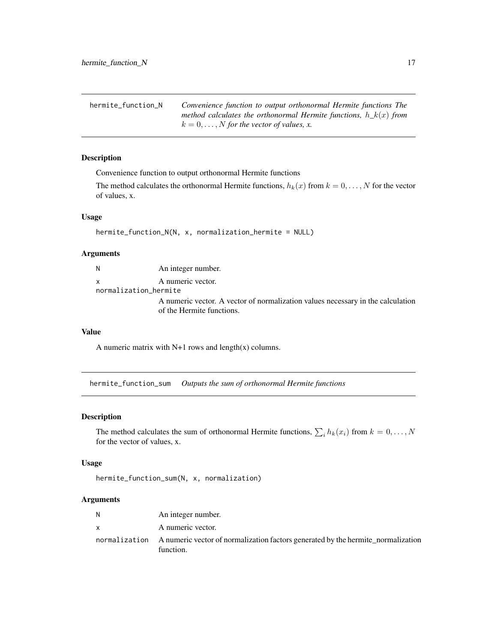<span id="page-16-0"></span>

| hermite_function_N | Convenience function to output orthonormal Hermite functions The   |
|--------------------|--------------------------------------------------------------------|
|                    | method calculates the orthonormal Hermite functions, $h_k(x)$ from |
|                    | $k = 0, \ldots, N$ for the vector of values, x.                    |

#### Description

Convenience function to output orthonormal Hermite functions

The method calculates the orthonormal Hermite functions,  $h_k(x)$  from  $k = 0, \ldots, N$  for the vector of values, x.

#### Usage

```
hermite_function_N(N, x, normalization_hermite = NULL)
```
#### Arguments

N An integer number. x A numeric vector.

normalization\_hermite

A numeric vector. A vector of normalization values necessary in the calculation of the Hermite functions.

#### Value

A numeric matrix with  $N+1$  rows and length(x) columns.

hermite\_function\_sum *Outputs the sum of orthonormal Hermite functions*

#### Description

The method calculates the sum of orthonormal Hermite functions,  $\sum_i h_k(x_i)$  from  $k = 0, \ldots, N$ for the vector of values, x.

#### Usage

hermite\_function\_sum(N, x, normalization)

#### Arguments

| N        | An integer number.                                                                                          |
|----------|-------------------------------------------------------------------------------------------------------------|
| <b>X</b> | A numeric vector.                                                                                           |
|          | normalization A numeric vector of normalization factors generated by the hermite normalization<br>function. |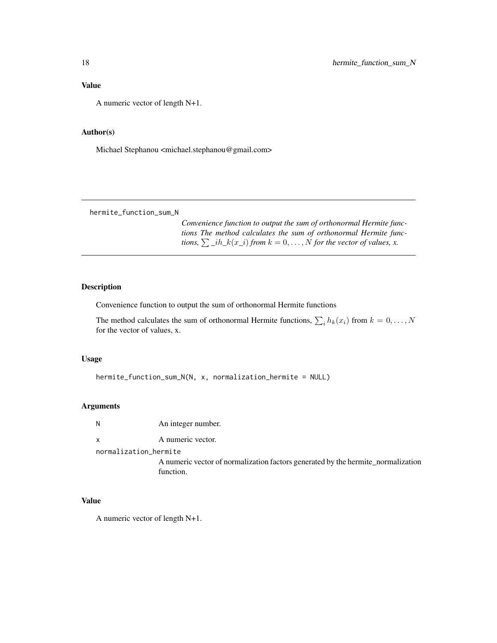<span id="page-17-0"></span>A numeric vector of length N+1.

#### Author(s)

Michael Stephanou <michael.stephanou@gmail.com>

hermite\_function\_sum\_N

*Convenience function to output the sum of orthonormal Hermite functions The method calculates the sum of orthonormal Hermite functions,*  $\sum_{i}$ *ih\_k*(x\_i) *from*  $k = 0, ..., N$  *for the vector of values, x.* 

#### Description

Convenience function to output the sum of orthonormal Hermite functions

The method calculates the sum of orthonormal Hermite functions,  $\sum_i h_k(x_i)$  from  $k = 0, \ldots, N$ for the vector of values, x.

#### Usage

hermite\_function\_sum\_N(N, x, normalization\_hermite = NULL)

#### Arguments

N An integer number.

x A numeric vector.

normalization\_hermite

A numeric vector of normalization factors generated by the hermite\_normalization function.

#### Value

A numeric vector of length N+1.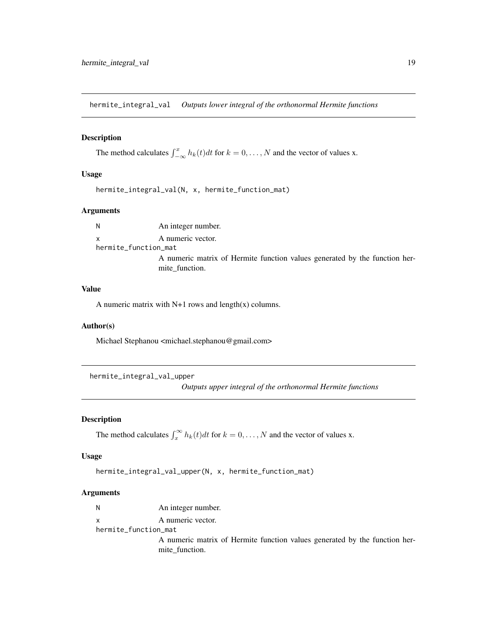<span id="page-18-0"></span>hermite\_integral\_val *Outputs lower integral of the orthonormal Hermite functions*

#### Description

The method calculates  $\int_{-\infty}^{x} h_k(t)dt$  for  $k = 0, ..., N$  and the vector of values x.

#### Usage

hermite\_integral\_val(N, x, hermite\_function\_mat)

#### Arguments

N An integer number. x A numeric vector. hermite\_function\_mat A numeric matrix of Hermite function values generated by the function hermite\_function.

#### Value

A numeric matrix with  $N+1$  rows and length(x) columns.

#### Author(s)

Michael Stephanou <michael.stephanou@gmail.com>

hermite\_integral\_val\_upper

*Outputs upper integral of the orthonormal Hermite functions*

#### **Description**

The method calculates  $\int_x^{\infty} h_k(t)dt$  for  $k = 0, ..., N$  and the vector of values x.

#### Usage

hermite\_integral\_val\_upper(N, x, hermite\_function\_mat)

#### Arguments

N An integer number. x A numeric vector. hermite\_function\_mat A numeric matrix of Hermite function values generated by the function hermite\_function.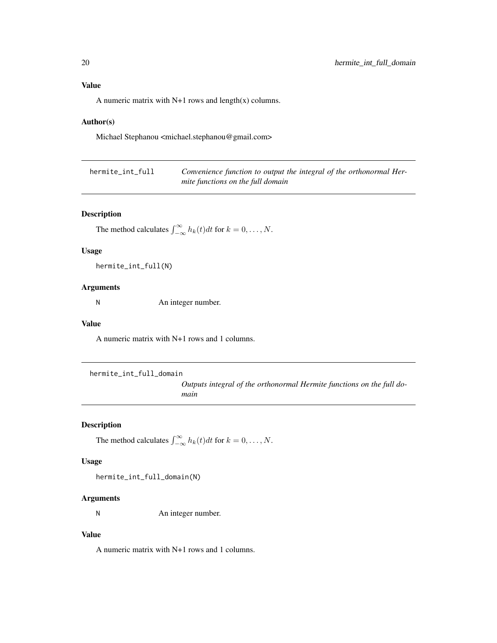#### <span id="page-19-0"></span>Value

A numeric matrix with N+1 rows and length(x) columns.

#### Author(s)

Michael Stephanou <michael.stephanou@gmail.com>

| hermite_int_full | Convenience function to output the integral of the orthonormal Her- |
|------------------|---------------------------------------------------------------------|
|                  | mite functions on the full domain                                   |

#### Description

The method calculates  $\int_{-\infty}^{\infty} h_k(t)dt$  for  $k = 0, \ldots, N$ .

#### Usage

hermite\_int\_full(N)

#### Arguments

N An integer number.

#### Value

A numeric matrix with N+1 rows and 1 columns.

```
hermite_int_full_domain
```
*Outputs integral of the orthonormal Hermite functions on the full domain*

#### Description

The method calculates  $\int_{-\infty}^{\infty} h_k(t)dt$  for  $k = 0, \ldots, N$ .

#### Usage

hermite\_int\_full\_domain(N)

#### Arguments

N An integer number.

#### Value

A numeric matrix with N+1 rows and 1 columns.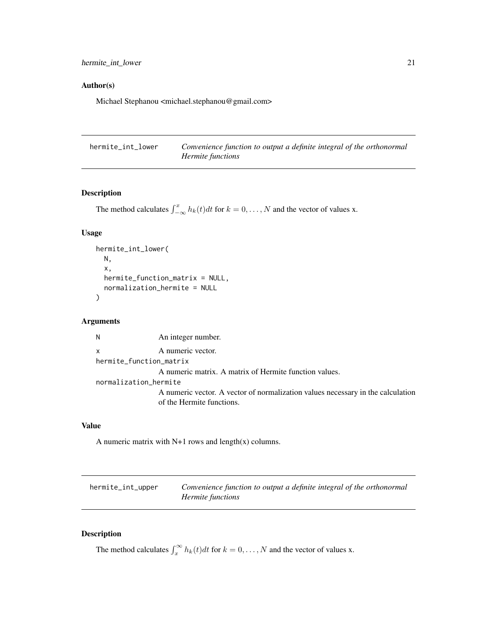<span id="page-20-0"></span>hermite\_int\_lower 21

#### Author(s)

Michael Stephanou <michael.stephanou@gmail.com>

| hermite_int_lower | Convenience function to output a definite integral of the orthonormal |
|-------------------|-----------------------------------------------------------------------|
|                   | <i>Hermite functions</i>                                              |

#### Description

The method calculates  $\int_{-\infty}^{x} h_k(t)dt$  for  $k = 0, ..., N$  and the vector of values x.

#### Usage

```
hermite_int_lower(
 N,
  x,
  hermite_function_matrix = NULL,
  normalization_hermite = NULL
)
```
#### Arguments

N An integer number. x A numeric vector. hermite\_function\_matrix A numeric matrix. A matrix of Hermite function values. normalization\_hermite A numeric vector. A vector of normalization values necessary in the calculation of the Hermite functions.

#### Value

A numeric matrix with  $N+1$  rows and length(x) columns.

hermite\_int\_upper *Convenience function to output a definite integral of the orthonormal Hermite functions*

#### Description

The method calculates  $\int_x^{\infty} h_k(t)dt$  for  $k = 0, ..., N$  and the vector of values x.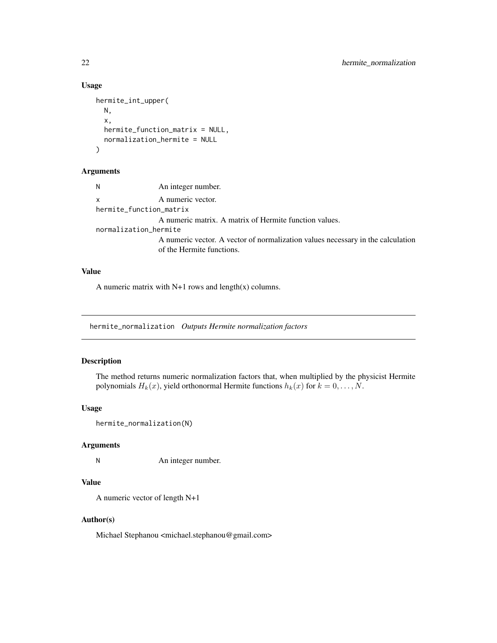#### Usage

```
hermite_int_upper(
 N,
  x,
  hermite_function_matrix = NULL,
  normalization_hermite = NULL
\mathcal{L}
```
#### Arguments

```
N An integer number.
x A numeric vector.
hermite_function_matrix
                A numeric matrix. A matrix of Hermite function values.
normalization_hermite
                A numeric vector. A vector of normalization values necessary in the calculation
                of the Hermite functions.
```
#### Value

A numeric matrix with  $N+1$  rows and length(x) columns.

hermite\_normalization *Outputs Hermite normalization factors*

#### Description

The method returns numeric normalization factors that, when multiplied by the physicist Hermite polynomials  $H_k(x)$ , yield orthonormal Hermite functions  $h_k(x)$  for  $k = 0, \ldots, N$ .

#### Usage

```
hermite_normalization(N)
```
#### Arguments

N An integer number.

#### Value

A numeric vector of length N+1

#### Author(s)

Michael Stephanou <michael.stephanou@gmail.com>

<span id="page-21-0"></span>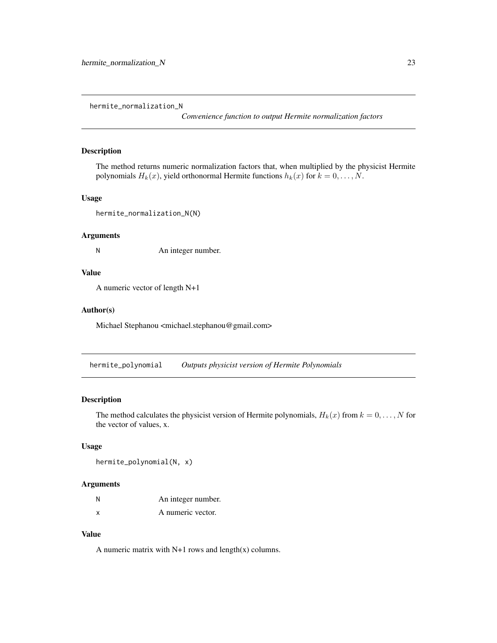<span id="page-22-0"></span>hermite\_normalization\_N

*Convenience function to output Hermite normalization factors*

#### Description

The method returns numeric normalization factors that, when multiplied by the physicist Hermite polynomials  $H_k(x)$ , yield orthonormal Hermite functions  $h_k(x)$  for  $k = 0, \ldots, N$ .

#### Usage

hermite\_normalization\_N(N)

#### Arguments

N An integer number.

#### Value

A numeric vector of length N+1

#### Author(s)

Michael Stephanou <michael.stephanou@gmail.com>

hermite\_polynomial *Outputs physicist version of Hermite Polynomials*

#### Description

The method calculates the physicist version of Hermite polynomials,  $H_k(x)$  from  $k = 0, \ldots, N$  for the vector of values, x.

#### Usage

hermite\_polynomial(N, x)

#### Arguments

| N | An integer number. |
|---|--------------------|
| x | A numeric vector.  |

#### Value

A numeric matrix with N+1 rows and length(x) columns.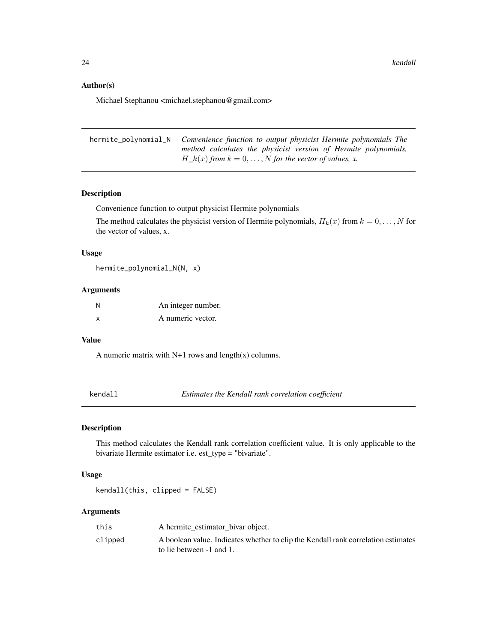#### Author(s)

Michael Stephanou <michael.stephanou@gmail.com>

| hermite_polynomial_N Convenience function to output physicist Hermite polynomials The |
|---------------------------------------------------------------------------------------|
| method calculates the physicist version of Hermite polynomials,                       |
| $H_k(x)$ from $k = 0, \ldots, N$ for the vector of values, x.                         |

#### Description

Convenience function to output physicist Hermite polynomials

The method calculates the physicist version of Hermite polynomials,  $H_k(x)$  from  $k = 0, \ldots, N$  for the vector of values, x.

#### Usage

hermite\_polynomial\_N(N, x)

#### Arguments

| N | An integer number. |
|---|--------------------|
| X | A numeric vector.  |

#### Value

A numeric matrix with  $N+1$  rows and length(x) columns.

kendall *Estimates the Kendall rank correlation coefficient*

#### Description

This method calculates the Kendall rank correlation coefficient value. It is only applicable to the bivariate Hermite estimator i.e. est\_type = "bivariate".

#### Usage

kendall(this, clipped = FALSE)

#### Arguments

| this    | A hermite estimator bivar object.                                                 |
|---------|-----------------------------------------------------------------------------------|
| clipped | A boolean value. Indicates whether to clip the Kendall rank correlation estimates |
|         | to lie between -1 and 1.                                                          |

<span id="page-23-0"></span>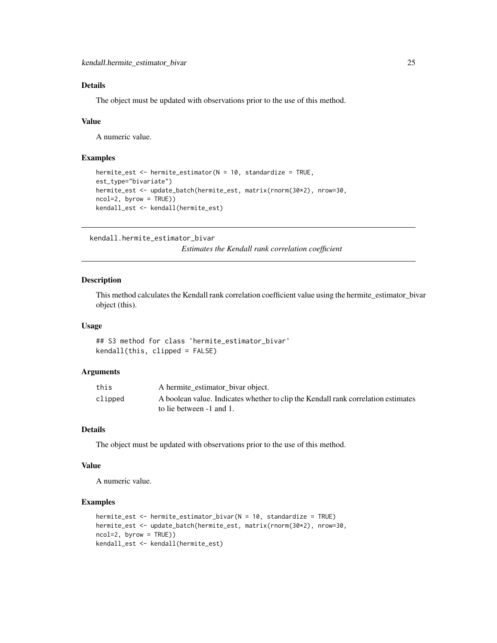#### <span id="page-24-0"></span>Details

The object must be updated with observations prior to the use of this method.

#### Value

A numeric value.

#### Examples

```
hermite_est <- hermite_estimator(N = 10, standardize = TRUE,
est_type="bivariate")
hermite_est <- update_batch(hermite_est, matrix(rnorm(30*2), nrow=30,
ncol=2, byrow = TRUE))
kendall_est <- kendall(hermite_est)
```
kendall.hermite\_estimator\_bivar

*Estimates the Kendall rank correlation coefficient*

#### Description

This method calculates the Kendall rank correlation coefficient value using the hermite\_estimator\_bivar object (this).

#### Usage

## S3 method for class 'hermite\_estimator\_bivar' kendall(this, clipped = FALSE)

#### Arguments

| this    | A hermite estimator bivar object.                                                 |
|---------|-----------------------------------------------------------------------------------|
| clipped | A boolean value. Indicates whether to clip the Kendall rank correlation estimates |
|         | to lie between -1 and 1.                                                          |

#### Details

The object must be updated with observations prior to the use of this method.

#### Value

A numeric value.

```
hermite_est <- hermite_estimator_bivar(N = 10, standardize = TRUE)
hermite_est <- update_batch(hermite_est, matrix(rnorm(30*2), nrow=30,
ncol=2, byrow = TRUE))
kendall_est <- kendall(hermite_est)
```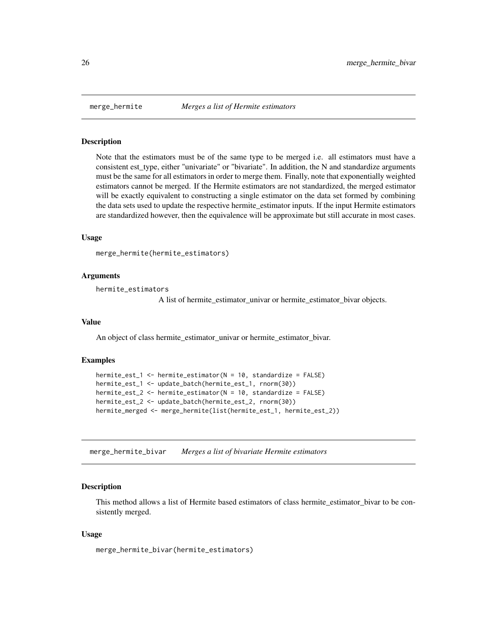<span id="page-25-0"></span>

#### Description

Note that the estimators must be of the same type to be merged i.e. all estimators must have a consistent est type, either "univariate" or "bivariate". In addition, the N and standardize arguments must be the same for all estimators in order to merge them. Finally, note that exponentially weighted estimators cannot be merged. If the Hermite estimators are not standardized, the merged estimator will be exactly equivalent to constructing a single estimator on the data set formed by combining the data sets used to update the respective hermite\_estimator inputs. If the input Hermite estimators are standardized however, then the equivalence will be approximate but still accurate in most cases.

#### Usage

```
merge_hermite(hermite_estimators)
```
#### Arguments

```
hermite_estimators
```
A list of hermite\_estimator\_univar or hermite\_estimator\_bivar objects.

#### Value

An object of class hermite\_estimator\_univar or hermite\_estimator\_bivar.

#### Examples

```
hermite_est_1 <- hermite_estimator(N = 10, standardize = FALSE)
hermite_est_1 <- update_batch(hermite_est_1, rnorm(30))
hermite_est_2 <- hermite_estimator(N = 10, standardize = FALSE)
hermite_est_2 <- update_batch(hermite_est_2, rnorm(30))
hermite_merged <- merge_hermite(list(hermite_est_1, hermite_est_2))
```
merge\_hermite\_bivar *Merges a list of bivariate Hermite estimators*

#### Description

This method allows a list of Hermite based estimators of class hermite\_estimator\_bivar to be consistently merged.

#### Usage

merge\_hermite\_bivar(hermite\_estimators)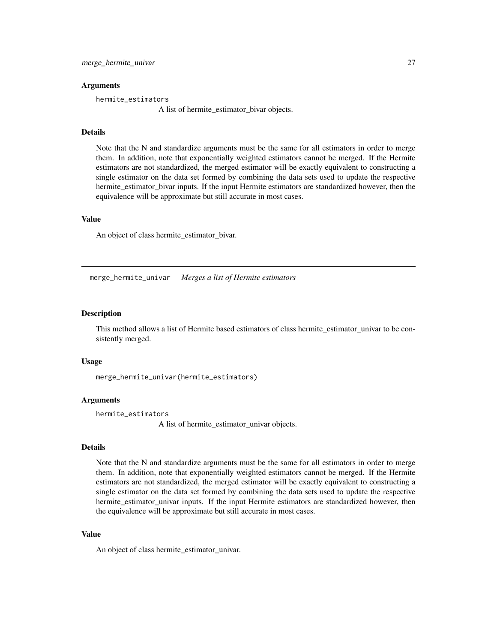#### <span id="page-26-0"></span>Arguments

hermite\_estimators

A list of hermite\_estimator\_bivar objects.

#### Details

Note that the N and standardize arguments must be the same for all estimators in order to merge them. In addition, note that exponentially weighted estimators cannot be merged. If the Hermite estimators are not standardized, the merged estimator will be exactly equivalent to constructing a single estimator on the data set formed by combining the data sets used to update the respective hermite\_estimator\_bivar inputs. If the input Hermite estimators are standardized however, then the equivalence will be approximate but still accurate in most cases.

#### Value

An object of class hermite\_estimator\_bivar.

merge\_hermite\_univar *Merges a list of Hermite estimators*

#### **Description**

This method allows a list of Hermite based estimators of class hermite\_estimator\_univar to be consistently merged.

#### Usage

merge\_hermite\_univar(hermite\_estimators)

#### Arguments

```
hermite_estimators
```
A list of hermite\_estimator\_univar objects.

#### Details

Note that the N and standardize arguments must be the same for all estimators in order to merge them. In addition, note that exponentially weighted estimators cannot be merged. If the Hermite estimators are not standardized, the merged estimator will be exactly equivalent to constructing a single estimator on the data set formed by combining the data sets used to update the respective hermite estimator univar inputs. If the input Hermite estimators are standardized however, then the equivalence will be approximate but still accurate in most cases.

#### Value

An object of class hermite\_estimator\_univar.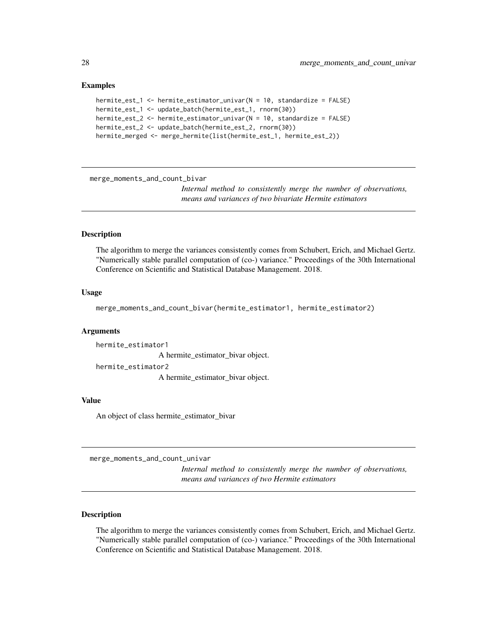#### Examples

```
hermite_est_1 <- hermite_estimator_univar(N = 10, standardize = FALSE)
hermite_est_1 <- update_batch(hermite_est_1, rnorm(30))
hermite_est_2 <- hermite_estimator_univar(N = 10, standardize = FALSE)
hermite_est_2 <- update_batch(hermite_est_2, rnorm(30))
hermite_merged <- merge_hermite(list(hermite_est_1, hermite_est_2))
```
merge\_moments\_and\_count\_bivar

*Internal method to consistently merge the number of observations, means and variances of two bivariate Hermite estimators*

#### **Description**

The algorithm to merge the variances consistently comes from Schubert, Erich, and Michael Gertz. "Numerically stable parallel computation of (co-) variance." Proceedings of the 30th International Conference on Scientific and Statistical Database Management. 2018.

#### Usage

merge\_moments\_and\_count\_bivar(hermite\_estimator1, hermite\_estimator2)

#### Arguments

hermite\_estimator1 A hermite\_estimator\_bivar object. hermite\_estimator2 A hermite\_estimator\_bivar object.

#### Value

An object of class hermite\_estimator\_bivar

merge\_moments\_and\_count\_univar

*Internal method to consistently merge the number of observations, means and variances of two Hermite estimators*

#### Description

The algorithm to merge the variances consistently comes from Schubert, Erich, and Michael Gertz. "Numerically stable parallel computation of (co-) variance." Proceedings of the 30th International Conference on Scientific and Statistical Database Management. 2018.

<span id="page-27-0"></span>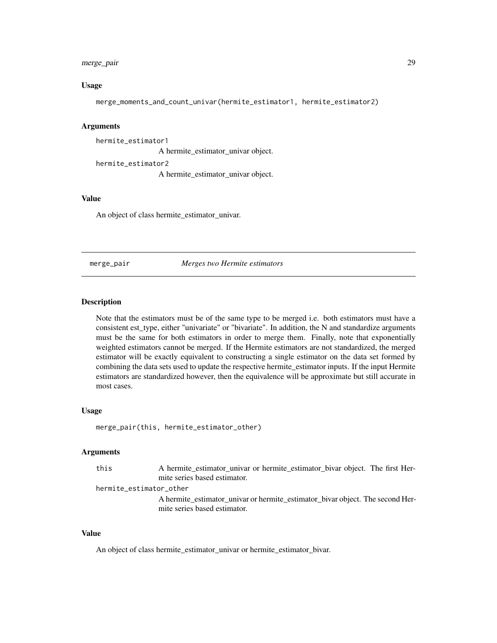#### <span id="page-28-0"></span>merge\_pair 29

#### Usage

merge\_moments\_and\_count\_univar(hermite\_estimator1, hermite\_estimator2)

#### Arguments

hermite\_estimator1 A hermite\_estimator\_univar object. hermite\_estimator2 A hermite\_estimator\_univar object.

#### Value

An object of class hermite\_estimator\_univar.

merge\_pair *Merges two Hermite estimators*

#### Description

Note that the estimators must be of the same type to be merged i.e. both estimators must have a consistent est\_type, either "univariate" or "bivariate". In addition, the N and standardize arguments must be the same for both estimators in order to merge them. Finally, note that exponentially weighted estimators cannot be merged. If the Hermite estimators are not standardized, the merged estimator will be exactly equivalent to constructing a single estimator on the data set formed by combining the data sets used to update the respective hermite\_estimator inputs. If the input Hermite estimators are standardized however, then the equivalence will be approximate but still accurate in most cases.

#### Usage

merge\_pair(this, hermite\_estimator\_other)

#### Arguments

this A hermite\_estimator\_univar or hermite\_estimator\_bivar object. The first Hermite series based estimator.

#### hermite\_estimator\_other

A hermite\_estimator\_univar or hermite\_estimator\_bivar object. The second Hermite series based estimator.

#### Value

An object of class hermite\_estimator\_univar or hermite\_estimator\_bivar.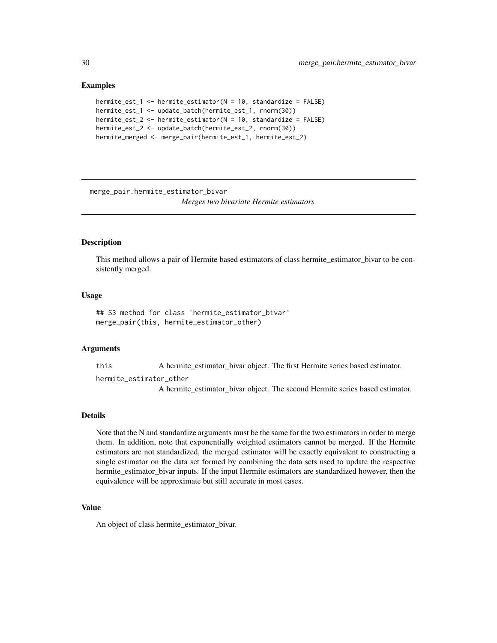#### Examples

```
hermite_est_1 <- hermite_estimator(N = 10, standardize = FALSE)
hermite_est_1 <- update_batch(hermite_est_1, rnorm(30))
hermite_est_2 <- hermite_estimator(N = 10, standardize = FALSE)
hermite_est_2 <- update_batch(hermite_est_2, rnorm(30))
hermite_merged <- merge_pair(hermite_est_1, hermite_est_2)
```
merge\_pair.hermite\_estimator\_bivar

*Merges two bivariate Hermite estimators*

#### Description

This method allows a pair of Hermite based estimators of class hermite\_estimator\_bivar to be consistently merged.

#### Usage

## S3 method for class 'hermite\_estimator\_bivar' merge\_pair(this, hermite\_estimator\_other)

#### Arguments

this A hermite\_estimator\_bivar object. The first Hermite series based estimator.

hermite\_estimator\_other

A hermite\_estimator\_bivar object. The second Hermite series based estimator.

#### Details

Note that the N and standardize arguments must be the same for the two estimators in order to merge them. In addition, note that exponentially weighted estimators cannot be merged. If the Hermite estimators are not standardized, the merged estimator will be exactly equivalent to constructing a single estimator on the data set formed by combining the data sets used to update the respective hermite\_estimator\_bivar inputs. If the input Hermite estimators are standardized however, then the equivalence will be approximate but still accurate in most cases.

#### Value

An object of class hermite\_estimator\_bivar.

<span id="page-29-0"></span>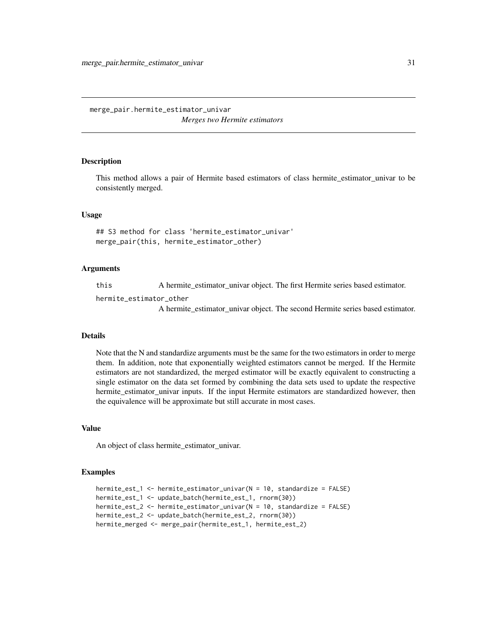<span id="page-30-0"></span>merge\_pair.hermite\_estimator\_univar *Merges two Hermite estimators*

#### Description

This method allows a pair of Hermite based estimators of class hermite\_estimator\_univar to be consistently merged.

#### Usage

## S3 method for class 'hermite\_estimator\_univar' merge\_pair(this, hermite\_estimator\_other)

#### Arguments

this A hermite\_estimator\_univar object. The first Hermite series based estimator.

hermite\_estimator\_other

A hermite estimator univar object. The second Hermite series based estimator.

#### Details

Note that the N and standardize arguments must be the same for the two estimators in order to merge them. In addition, note that exponentially weighted estimators cannot be merged. If the Hermite estimators are not standardized, the merged estimator will be exactly equivalent to constructing a single estimator on the data set formed by combining the data sets used to update the respective hermite\_estimator\_univar inputs. If the input Hermite estimators are standardized however, then the equivalence will be approximate but still accurate in most cases.

#### Value

An object of class hermite\_estimator\_univar.

```
hermite_est_1 <- hermite_estimator_univar(N = 10, standardize = FALSE)
hermite_est_1 <- update_batch(hermite_est_1, rnorm(30))
hermite_est_2 <- hermite_estimator_univar(N = 10, standardize = FALSE)
hermite_est_2 <- update_batch(hermite_est_2, rnorm(30))
hermite_merged <- merge_pair(hermite_est_1, hermite_est_2)
```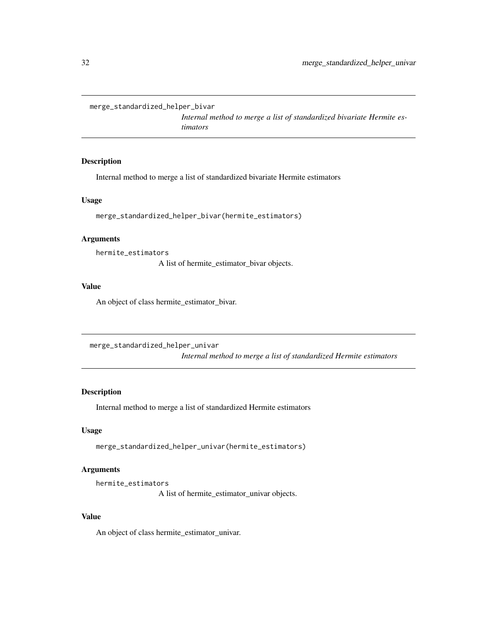<span id="page-31-0"></span>merge\_standardized\_helper\_bivar

*Internal method to merge a list of standardized bivariate Hermite estimators*

#### Description

Internal method to merge a list of standardized bivariate Hermite estimators

#### Usage

merge\_standardized\_helper\_bivar(hermite\_estimators)

#### Arguments

hermite\_estimators

A list of hermite\_estimator\_bivar objects.

#### Value

An object of class hermite\_estimator\_bivar.

merge\_standardized\_helper\_univar

*Internal method to merge a list of standardized Hermite estimators*

#### Description

Internal method to merge a list of standardized Hermite estimators

#### Usage

merge\_standardized\_helper\_univar(hermite\_estimators)

#### Arguments

```
hermite_estimators
                  A list of hermite_estimator_univar objects.
```
#### Value

An object of class hermite\_estimator\_univar.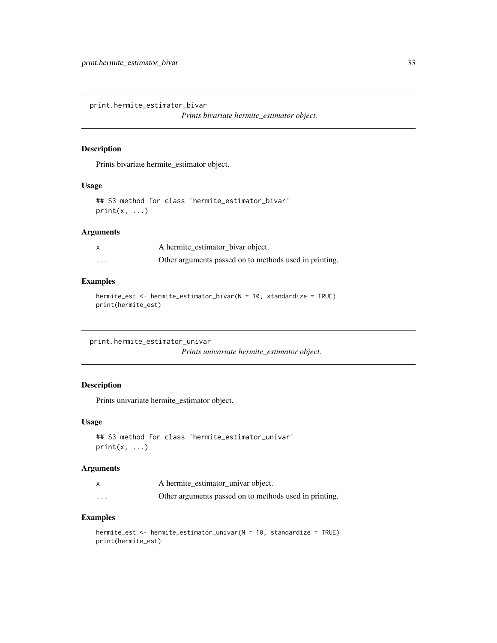<span id="page-32-0"></span>print.hermite\_estimator\_bivar

*Prints bivariate hermite\_estimator object.*

#### Description

Prints bivariate hermite\_estimator object.

#### Usage

```
## S3 method for class 'hermite_estimator_bivar'
print(x, \ldots)
```
#### Arguments

|   | A hermite_estimator_bivar object.                      |
|---|--------------------------------------------------------|
| . | Other arguments passed on to methods used in printing. |

#### Examples

```
hermite_est <- hermite_estimator_bivar(N = 10, standardize = TRUE)
print(hermite_est)
```
print.hermite\_estimator\_univar

*Prints univariate hermite\_estimator object.*

#### Description

Prints univariate hermite\_estimator object.

#### Usage

```
## S3 method for class 'hermite_estimator_univar'
print(x, \ldots)
```
#### Arguments

|          | A hermite_estimator_univar object.                     |
|----------|--------------------------------------------------------|
| $\cdots$ | Other arguments passed on to methods used in printing. |

```
hermite_est <- hermite_estimator_univar(N = 10, standardize = TRUE)
print(hermite_est)
```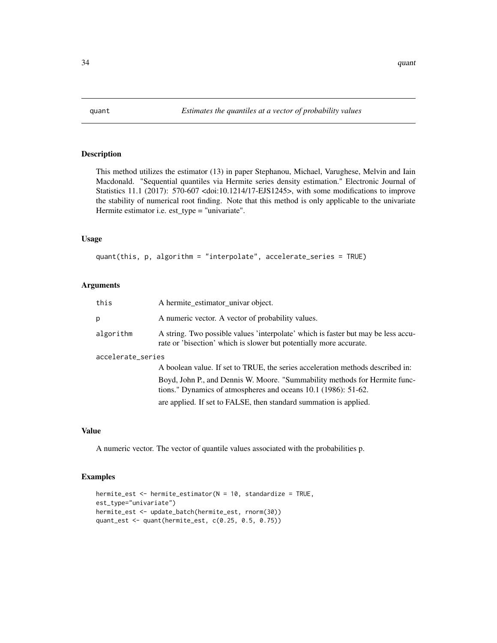<span id="page-33-0"></span>

#### Description

This method utilizes the estimator (13) in paper Stephanou, Michael, Varughese, Melvin and Iain Macdonald. "Sequential quantiles via Hermite series density estimation." Electronic Journal of Statistics 11.1 (2017): 570-607 <doi:10.1214/17-EJS1245>, with some modifications to improve the stability of numerical root finding. Note that this method is only applicable to the univariate Hermite estimator i.e. est\_type = "univariate".

#### Usage

quant(this, p, algorithm = "interpolate", accelerate\_series = TRUE)

#### Arguments

| this              | A hermite_estimator_univar object.                                                                                                                      |  |
|-------------------|---------------------------------------------------------------------------------------------------------------------------------------------------------|--|
| b.                | A numeric vector. A vector of probability values.                                                                                                       |  |
| algorithm         | A string. Two possible values 'interpolate' which is faster but may be less accu-<br>rate or 'bisection' which is slower but potentially more accurate. |  |
| accelerate_series |                                                                                                                                                         |  |
|                   | A boolean value. If set to TRUE, the series acceleration methods described in:                                                                          |  |
|                   | Boyd, John P., and Dennis W. Moore. "Summability methods for Hermite func-<br>tions." Dynamics of atmospheres and oceans 10.1 (1986): 51-62.            |  |
|                   | are applied. If set to FALSE, then standard summation is applied.                                                                                       |  |

#### Value

A numeric vector. The vector of quantile values associated with the probabilities p.

```
hermite_est <- hermite_estimator(N = 10, standardize = TRUE,
est_type="univariate")
hermite_est <- update_batch(hermite_est, rnorm(30))
quant_est <- quant(hermite_est, c(0.25, 0.5, 0.75))
```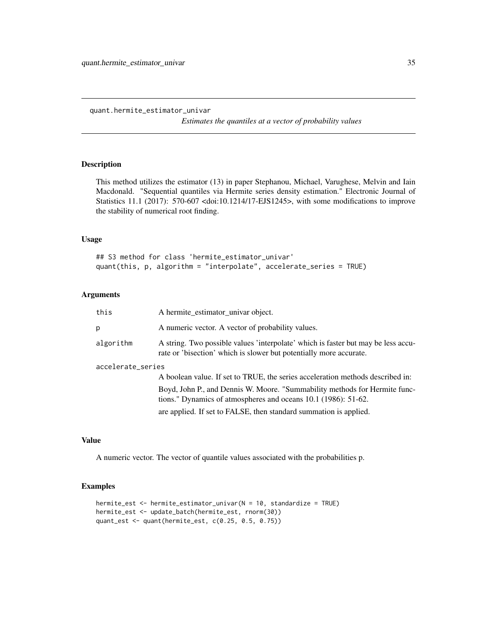<span id="page-34-0"></span>quant.hermite\_estimator\_univar

*Estimates the quantiles at a vector of probability values*

#### Description

This method utilizes the estimator (13) in paper Stephanou, Michael, Varughese, Melvin and Iain Macdonald. "Sequential quantiles via Hermite series density estimation." Electronic Journal of Statistics 11.1 (2017): 570-607 <doi:10.1214/17-EJS1245>, with some modifications to improve the stability of numerical root finding.

#### Usage

## S3 method for class 'hermite\_estimator\_univar' quant(this, p, algorithm = "interpolate", accelerate\_series = TRUE)

#### Arguments

| this              | A hermite_estimator_univar object.                                                                                                                      |  |
|-------------------|---------------------------------------------------------------------------------------------------------------------------------------------------------|--|
| p                 | A numeric vector. A vector of probability values.                                                                                                       |  |
| algorithm         | A string. Two possible values 'interpolate' which is faster but may be less accu-<br>rate or 'bisection' which is slower but potentially more accurate. |  |
| accelerate_series |                                                                                                                                                         |  |
|                   | A boolean value. If set to TRUE, the series acceleration methods described in:                                                                          |  |
|                   | Boyd, John P., and Dennis W. Moore. "Summability methods for Hermite func-<br>tions." Dynamics of atmospheres and oceans 10.1 (1986): 51-62.            |  |
|                   | are applied. If set to FALSE, then standard summation is applied.                                                                                       |  |

#### Value

A numeric vector. The vector of quantile values associated with the probabilities p.

```
hermite_est <- hermite_estimator_univar(N = 10, standardize = TRUE)
hermite_est <- update_batch(hermite_est, rnorm(30))
quant_est <- quant(hermite_est, c(0.25, 0.5, 0.75))
```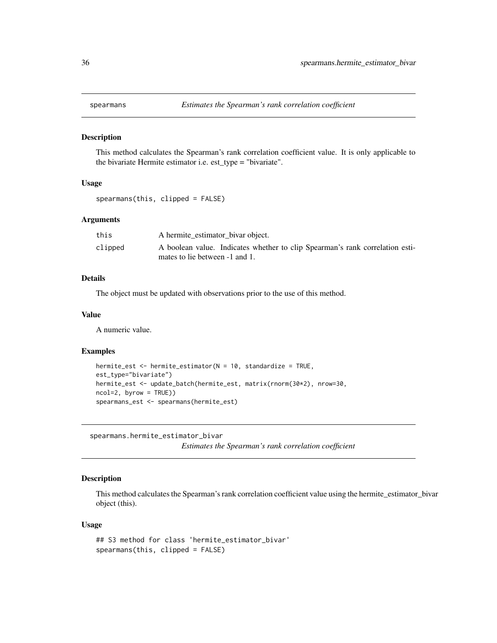<span id="page-35-0"></span>

#### Description

This method calculates the Spearman's rank correlation coefficient value. It is only applicable to the bivariate Hermite estimator i.e. est\_type = "bivariate".

#### Usage

spearmans(this, clipped = FALSE)

#### **Arguments**

| this    | A hermite_estimator_bivar object.                                            |
|---------|------------------------------------------------------------------------------|
| clipped | A boolean value. Indicates whether to clip Spearman's rank correlation esti- |
|         | mates to lie between -1 and 1.                                               |

#### Details

The object must be updated with observations prior to the use of this method.

#### Value

A numeric value.

#### Examples

```
hermite_est <- hermite_estimator(N = 10, standardize = TRUE,
est_type="bivariate")
hermite_est <- update_batch(hermite_est, matrix(rnorm(30*2), nrow=30,
ncol=2, byrow = TRUE))
spearmans_est <- spearmans(hermite_est)
```
spearmans.hermite\_estimator\_bivar

*Estimates the Spearman's rank correlation coefficient*

#### Description

This method calculates the Spearman's rank correlation coefficient value using the hermite\_estimator\_bivar object (this).

#### Usage

```
## S3 method for class 'hermite_estimator_bivar'
spearmans(this, clipped = FALSE)
```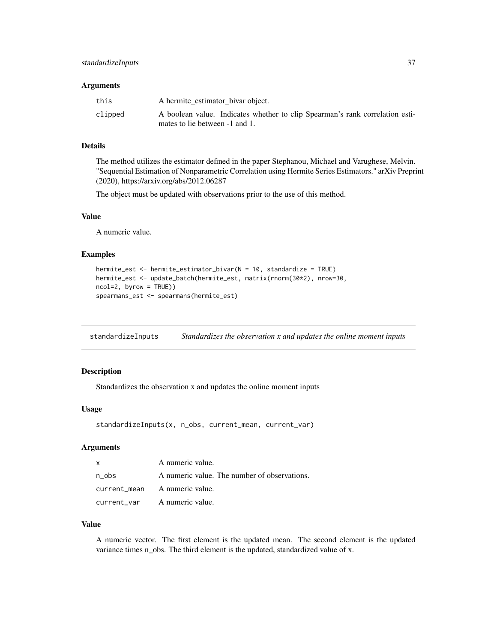#### <span id="page-36-0"></span>**Arguments**

| this    | A hermite_estimator_bivar object.                                            |
|---------|------------------------------------------------------------------------------|
| clipped | A boolean value. Indicates whether to clip Spearman's rank correlation esti- |
|         | mates to lie between -1 and 1.                                               |

#### Details

The method utilizes the estimator defined in the paper Stephanou, Michael and Varughese, Melvin. "Sequential Estimation of Nonparametric Correlation using Hermite Series Estimators." arXiv Preprint (2020), https://arxiv.org/abs/2012.06287

The object must be updated with observations prior to the use of this method.

#### Value

A numeric value.

#### Examples

```
hermite_est <- hermite_estimator_bivar(N = 10, standardize = TRUE)
hermite_est <- update_batch(hermite_est, matrix(rnorm(30*2), nrow=30,
ncol=2, byrow = TRUE))
spearmans_est <- spearmans(hermite_est)
```
standardizeInputs *Standardizes the observation x and updates the online moment inputs*

#### Description

Standardizes the observation x and updates the online moment inputs

#### Usage

```
standardizeInputs(x, n_obs, current_mean, current_var)
```
#### Arguments

| $\mathsf{x}$ | A numeric value.                             |
|--------------|----------------------------------------------|
| n obs        | A numeric value. The number of observations. |
|              | current_mean A numeric value.                |
|              | current_var A numeric value.                 |

#### Value

A numeric vector. The first element is the updated mean. The second element is the updated variance times n\_obs. The third element is the updated, standardized value of x.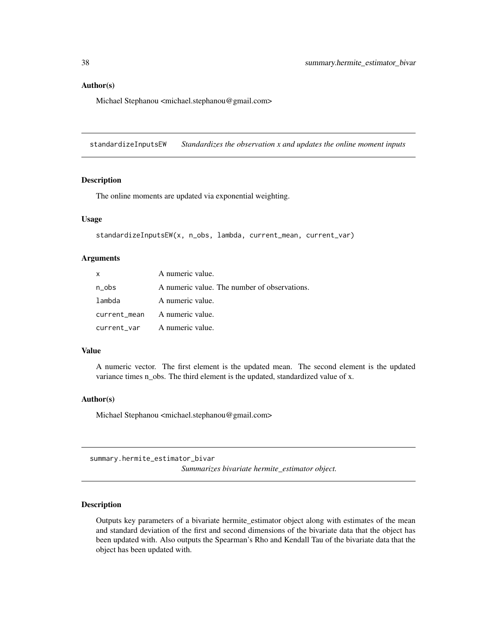#### <span id="page-37-0"></span>Author(s)

Michael Stephanou <michael.stephanou@gmail.com>

standardizeInputsEW *Standardizes the observation x and updates the online moment inputs*

#### Description

The online moments are updated via exponential weighting.

#### Usage

```
standardizeInputsEW(x, n_obs, lambda, current_mean, current_var)
```
#### Arguments

| x      | A numeric value.                             |
|--------|----------------------------------------------|
| n_obs  | A numeric value. The number of observations. |
| lambda | A numeric value.                             |
|        | current_mean A numeric value.                |
|        | current_var A numeric value.                 |

#### Value

A numeric vector. The first element is the updated mean. The second element is the updated variance times n\_obs. The third element is the updated, standardized value of x.

#### Author(s)

Michael Stephanou <michael.stephanou@gmail.com>

summary.hermite\_estimator\_bivar *Summarizes bivariate hermite\_estimator object.*

#### Description

Outputs key parameters of a bivariate hermite\_estimator object along with estimates of the mean and standard deviation of the first and second dimensions of the bivariate data that the object has been updated with. Also outputs the Spearman's Rho and Kendall Tau of the bivariate data that the object has been updated with.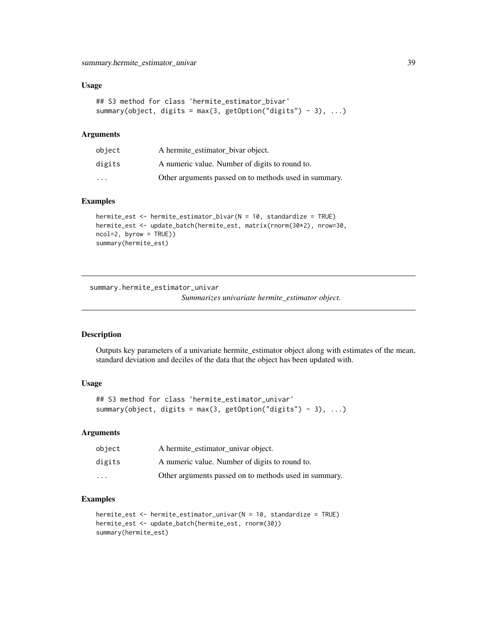#### <span id="page-38-0"></span>Usage

```
## S3 method for class 'hermite_estimator_bivar'
summary(object, digits = max(3, getOption("digits") - 3), \dots)
```
#### Arguments

| object                  | A hermite_estimator_bivar object.                     |
|-------------------------|-------------------------------------------------------|
| digits                  | A numeric value. Number of digits to round to.        |
| $\cdot$ $\cdot$ $\cdot$ | Other arguments passed on to methods used in summary. |

#### Examples

```
hermite_est <- hermite_estimator_bivar(N = 10, standardize = TRUE)
hermite_est <- update_batch(hermite_est, matrix(rnorm(30*2), nrow=30,
ncol=2, byrow = TRUE))
summary(hermite_est)
```
summary.hermite\_estimator\_univar

*Summarizes univariate hermite\_estimator object.*

#### Description

Outputs key parameters of a univariate hermite\_estimator object along with estimates of the mean, standard deviation and deciles of the data that the object has been updated with.

#### Usage

```
## S3 method for class 'hermite_estimator_univar'
summary(object, digits = max(3, getOption("digits") - 3), ...)
```
#### Arguments

| object                  | A hermite_estimator_univar object.                    |
|-------------------------|-------------------------------------------------------|
| digits                  | A numeric value. Number of digits to round to.        |
| $\cdot$ $\cdot$ $\cdot$ | Other arguments passed on to methods used in summary. |

```
hermite_est <- hermite_estimator_univar(N = 10, standardize = TRUE)
hermite_est <- update_batch(hermite_est, rnorm(30))
summary(hermite_est)
```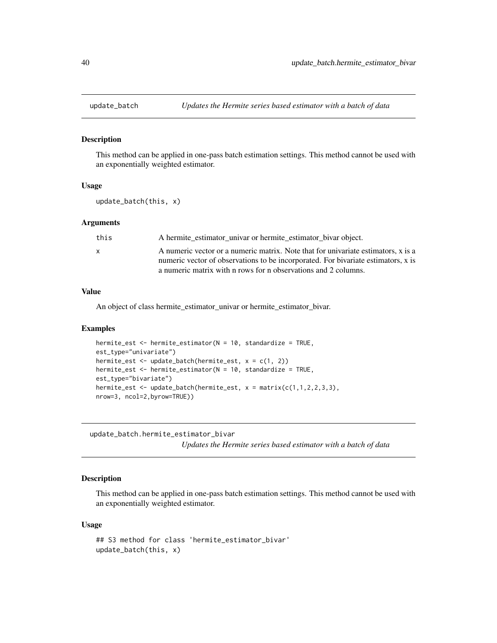<span id="page-39-0"></span>

#### Description

This method can be applied in one-pass batch estimation settings. This method cannot be used with an exponentially weighted estimator.

#### Usage

```
update_batch(this, x)
```
#### Arguments

| this         | A hermite estimator_univar or hermite_estimator_bivar object.                     |
|--------------|-----------------------------------------------------------------------------------|
| $\mathbf{x}$ | A numeric vector or a numeric matrix. Note that for univariate estimators, x is a |
|              | numeric vector of observations to be incorporated. For bivariate estimators, x is |
|              | a numeric matrix with n rows for n observations and 2 columns.                    |

#### Value

An object of class hermite\_estimator\_univar or hermite\_estimator\_bivar.

#### Examples

```
hermite_est <- hermite_estimator(N = 10, standardize = TRUE,
est_type="univariate")
hermite_est <- update_batch(hermite_est, x = c(1, 2))
hermite_est <- hermite_estimator(N = 10, standardize = TRUE,
est_type="bivariate")
hermite_est <- update_batch(hermite_est, x = matrix(c(1,1,2,2,3,3),nrow=3, ncol=2,byrow=TRUE))
```
update\_batch.hermite\_estimator\_bivar

*Updates the Hermite series based estimator with a batch of data*

#### Description

This method can be applied in one-pass batch estimation settings. This method cannot be used with an exponentially weighted estimator.

#### Usage

```
## S3 method for class 'hermite_estimator_bivar'
update_batch(this, x)
```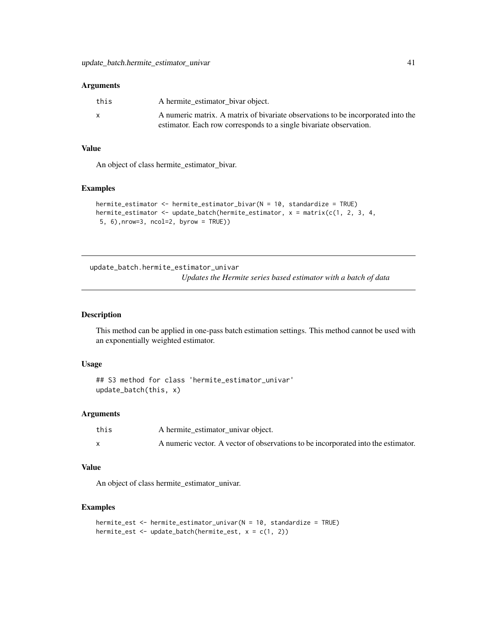#### <span id="page-40-0"></span>**Arguments**

| this | A hermite_estimator_bivar object.                                                |
|------|----------------------------------------------------------------------------------|
| X    | A numeric matrix. A matrix of bivariate observations to be incorporated into the |
|      | estimator. Each row corresponds to a single bivariate observation.               |

#### Value

An object of class hermite\_estimator\_bivar.

#### Examples

```
hermite_estimator <- hermite_estimator_bivar(N = 10, standardize = TRUE)
hermite_estimator <- update_batch(hermite_estimator, x = matrix(c(1, 2, 3, 4,
 5, 6),nrow=3, ncol=2, byrow = TRUE))
```
update\_batch.hermite\_estimator\_univar *Updates the Hermite series based estimator with a batch of data*

#### Description

This method can be applied in one-pass batch estimation settings. This method cannot be used with an exponentially weighted estimator.

#### Usage

```
## S3 method for class 'hermite_estimator_univar'
update_batch(this, x)
```
#### Arguments

| this | A hermite_estimator_univar object.                                                |
|------|-----------------------------------------------------------------------------------|
|      | A numeric vector. A vector of observations to be incorporated into the estimator. |

#### Value

An object of class hermite\_estimator\_univar.

```
hermite_est <- hermite_estimator_univar(N = 10, standardize = TRUE)
hermite_est <- update_batch(hermite_est, x = c(1, 2))
```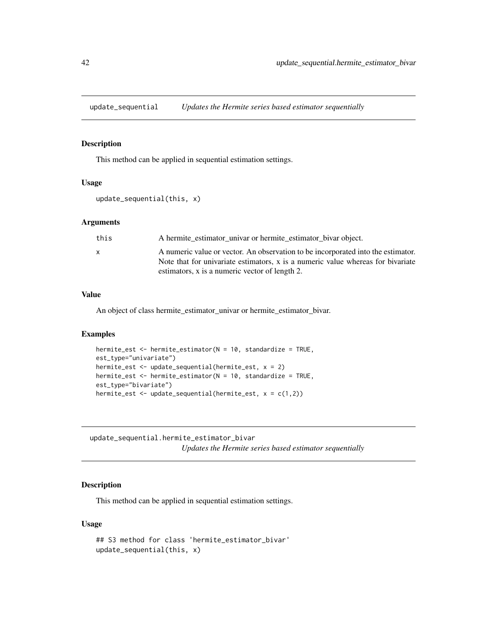<span id="page-41-0"></span>update\_sequential *Updates the Hermite series based estimator sequentially*

#### Description

This method can be applied in sequential estimation settings.

#### Usage

```
update_sequential(this, x)
```
#### **Arguments**

| this         | A hermite estimator univar or hermite estimator bivar object.                                                                                                                                                         |
|--------------|-----------------------------------------------------------------------------------------------------------------------------------------------------------------------------------------------------------------------|
| $\mathsf{x}$ | A numeric value or vector. An observation to be incorporated into the estimator.<br>Note that for univariate estimators, x is a numeric value whereas for bivariate<br>estimators, x is a numeric vector of length 2. |

#### Value

An object of class hermite\_estimator\_univar or hermite\_estimator\_bivar.

#### Examples

```
hermite_est <- hermite_estimator(N = 10, standardize = TRUE,
est_type="univariate")
hermite_est <- update_sequential(hermite_est, x = 2)
hermite_est <- hermite_estimator(N = 10, standardize = TRUE,
est_type="bivariate")
hermite_est \leq update_sequential(hermite_est, x = c(1,2))
```
update\_sequential.hermite\_estimator\_bivar *Updates the Hermite series based estimator sequentially*

#### Description

This method can be applied in sequential estimation settings.

#### Usage

```
## S3 method for class 'hermite_estimator_bivar'
update_sequential(this, x)
```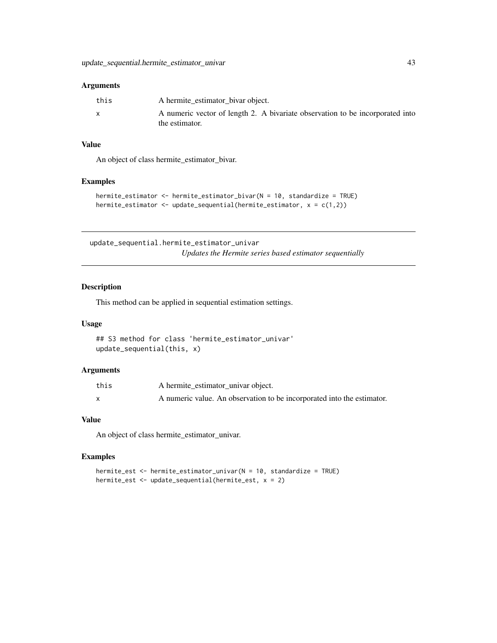#### <span id="page-42-0"></span>Arguments

| this | A hermite_estimator_bivar object.                                             |
|------|-------------------------------------------------------------------------------|
|      | A numeric vector of length 2. A bivariate observation to be incorporated into |
|      | the estimator.                                                                |

#### Value

An object of class hermite\_estimator\_bivar.

#### Examples

```
hermite_estimator <- hermite_estimator_bivar(N = 10, standardize = TRUE)
hermite_estimator <- update_sequential(hermite_estimator, x = c(1,2))
```
update\_sequential.hermite\_estimator\_univar *Updates the Hermite series based estimator sequentially*

#### Description

This method can be applied in sequential estimation settings.

#### Usage

```
## S3 method for class 'hermite_estimator_univar'
update_sequential(this, x)
```
#### Arguments

| this | A hermite estimator univar object.                                     |
|------|------------------------------------------------------------------------|
|      | A numeric value. An observation to be incorporated into the estimator. |

#### Value

An object of class hermite\_estimator\_univar.

#### Examples

hermite\_est <- hermite\_estimator\_univar(N = 10, standardize = TRUE) hermite\_est <- update\_sequential(hermite\_est, x = 2)